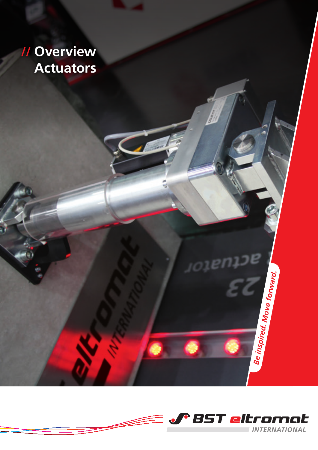# **// Overview Actuators**



*Be inspired. Move forward.*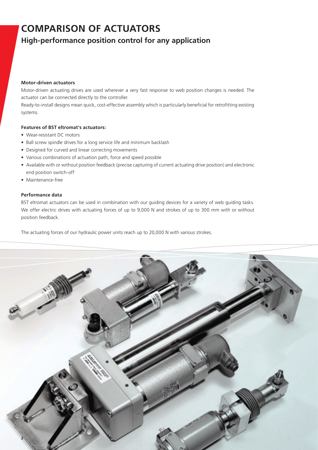### **COMPARISON OF ACTUATORS**

### **High-performance position control for any application**

#### **Motor-driven actuators**

Motor-driven actuating drives are used wherever a very fast response to web position changes is needed. The actuator can be connected directly to the controller.

Ready-to-install designs mean quick, cost-effective assembly which is particularly beneficial for retrofitting existing systems.

#### **Features of BST eltromat's actuators:**

- Wear-resistant DC motors
- Ball screw spindle drives for a long service life and minimum backlash
- Designed for curved and linear correcting movements
- Various combinations of actuation path, force and speed possible
- Available with or without position feedback (precise capturing of current actuating drive position) and electronic end position switch-off
- Maintenance-free

#### **Performance data**

BST eltromat actuators can be used in combination with our guiding devices for a variety of web guiding tasks. We offer electric drives with actuating forces of up to 9,000 N and strokes of up to 300 mm with or without position feedback.

The actuating forces of our hydraulic power units reach up to 20,000 N with various strokes.

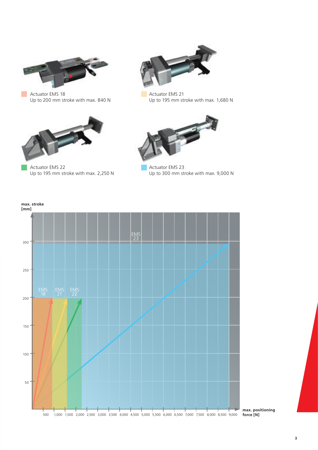

 $\mathcal{L}_{\mathcal{A}}$ 

Actuator EMS 18 Up to 200 mm stroke with max. 840 N



Actuator EMS 22 Up to 195 mm stroke with max. 2,250 N



Actuator EMS 21 Up to 195 mm stroke with max. 1,680 N



Actuator EMS 23 Up to 300 mm stroke with max. 9,000 N



**max. positioning**